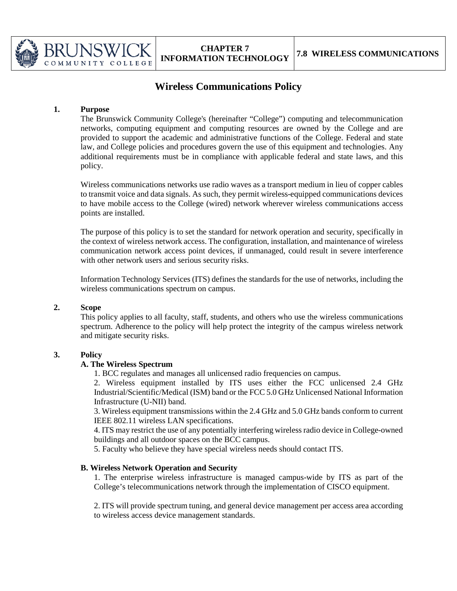

# **Wireless Communications Policy**

## **1. Purpose**

The Brunswick Community College's (hereinafter "College") computing and telecommunication networks, computing equipment and computing resources are owned by the College and are provided to support the academic and administrative functions of the College. Federal and state law, and College policies and procedures govern the use of this equipment and technologies. Any additional requirements must be in compliance with applicable federal and state laws, and this policy.

Wireless communications networks use radio waves as a transport medium in lieu of copper cables to transmit voice and data signals. As such, they permit wireless-equipped communications devices to have mobile access to the College (wired) network wherever wireless communications access points are installed.

The purpose of this policy is to set the standard for network operation and security, specifically in the context of wireless network access. The configuration, installation, and maintenance of wireless communication network access point devices, if unmanaged, could result in severe interference with other network users and serious security risks.

Information Technology Services (ITS) defines the standards for the use of networks, including the wireless communications spectrum on campus.

## **2. Scope**

This policy applies to all faculty, staff, students, and others who use the wireless communications spectrum. Adherence to the policy will help protect the integrity of the campus wireless network and mitigate security risks.

## **3. Policy**

## **A. The Wireless Spectrum**

1. BCC regulates and manages all unlicensed radio frequencies on campus.

2. Wireless equipment installed by ITS uses either the FCC unlicensed 2.4 GHz Industrial/Scientific/Medical (ISM) band or the FCC 5.0 GHz Unlicensed National Information Infrastructure (U-NII) band.

3. Wireless equipment transmissions within the 2.4 GHz and 5.0 GHz bands conform to current IEEE 802.11 wireless LAN specifications.

4. ITS may restrict the use of any potentially interfering wireless radio device in College-owned buildings and all outdoor spaces on the BCC campus.

5. Faculty who believe they have special wireless needs should contact ITS.

## **B. Wireless Network Operation and Security**

1. The enterprise wireless infrastructure is managed campus-wide by ITS as part of the College's telecommunications network through the implementation of CISCO equipment.

2. ITS will provide spectrum tuning, and general device management per access area according to wireless access device management standards.